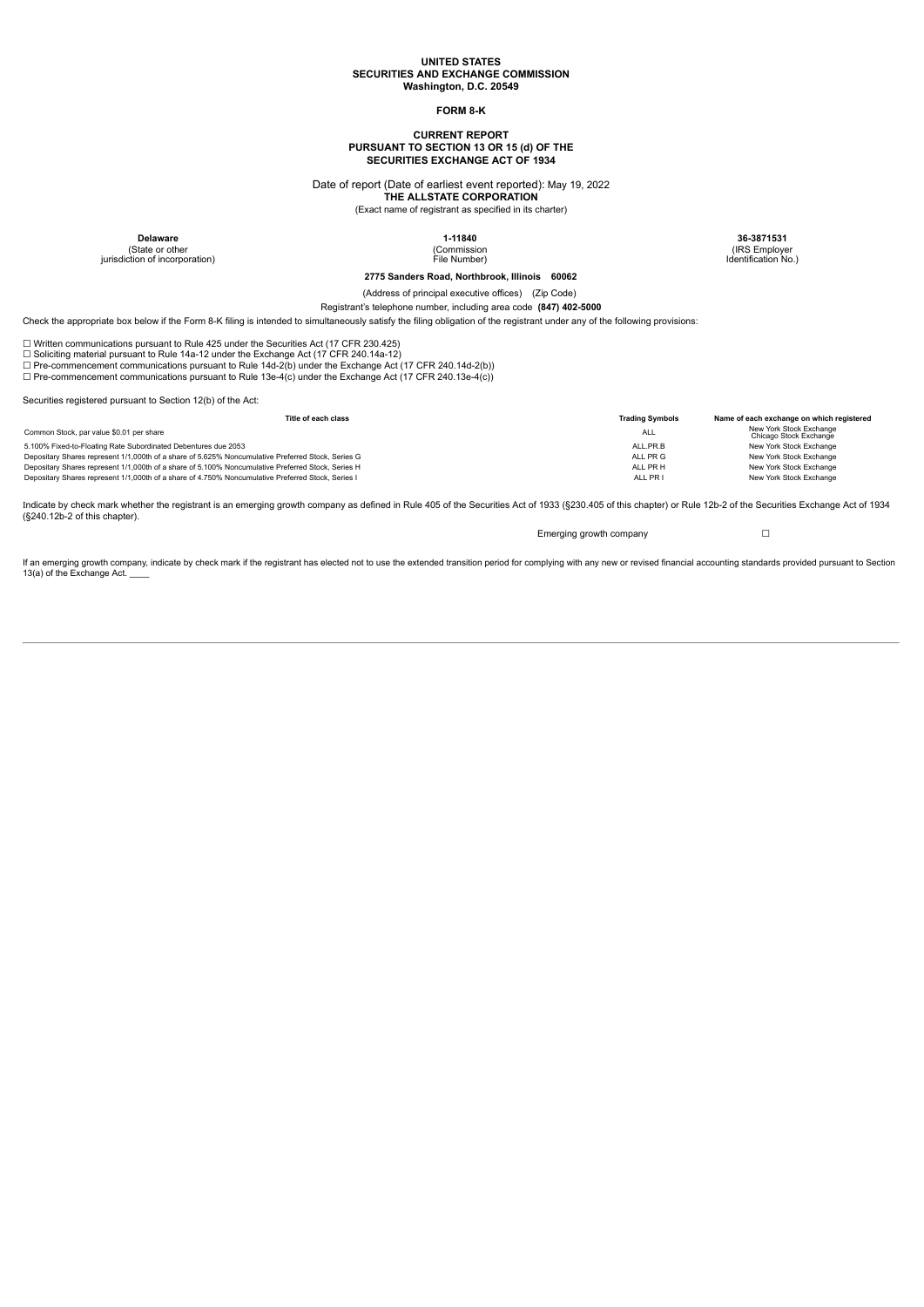#### **UNITED STATES SECURITIES AND EXCHANGE COMMISSION Washington, D.C. 20549**

# **FORM 8-K**

# **CURRENT REPORT PURSUANT TO SECTION 13 OR 15 (d) OF THE SECURITIES EXCHANGE ACT OF 1934**

Date of report (Date of earliest event reported): May 19, 2022

**THE ALLSTATE CORPORATION**

(Exact name of registrant as specified in its charter)

(State or other jurisdiction of incorporation)

(Commission File Number)

**Delaware 1-11840 36-3871531** (IRS Employer Identification No.)

# **2775 Sanders Road, Northbrook, Illinois 60062**

(Address of principal executive offices) (Zip Code)

Registrant's telephone number, including area code **(847) 402-5000**

Check the appropriate box below if the Form 8-K filing is intended to simultaneously satisfy the filing obligation of the registrant under any of the following provisions:

☐ Written communications pursuant to Rule 425 under the Securities Act (17 CFR 230.425)

□ Soliciting material pursuant to Rule 14a-12 under the Exchange Act (17 CFR 240.14a-12)<br>□ Pre-commencement communications pursuant to Rule 14d-2(b) under the Exchange Act (17 CFR 240.14d-2(b))

☐ Pre-commencement communications pursuant to Rule 13e-4(c) under the Exchange Act (17 CFR 240.13e-4(c))

Securities registered pursuant to Section 12(b) of the Act:

| Title of each class                                                                                | <b>Trading Symbols</b> | Name of each exchange on which registered         |
|----------------------------------------------------------------------------------------------------|------------------------|---------------------------------------------------|
| Common Stock, par value \$0.01 per share                                                           | <b>ALL</b>             | New York Stock Exchange<br>Chicago Stock Exchange |
| 5.100% Fixed-to-Floating Rate Subordinated Debentures due 2053                                     | ALL PR.B               | New York Stock Exchange                           |
| Depositary Shares represent 1/1,000th of a share of 5.625% Noncumulative Preferred Stock, Series G | AII PR G               | New York Stock Exchange                           |
| Depositary Shares represent 1/1,000th of a share of 5.100% Noncumulative Preferred Stock, Series H | ALL PR H               | New York Stock Exchange                           |
| Depositary Shares represent 1/1,000th of a share of 4.750% Noncumulative Preferred Stock, Series I | ALL PR I               | New York Stock Exchange                           |

Indicate by check mark whether the registrant is an emerging growth company as defined in Rule 405 of the Securities Act of 1933 (§230.405 of this chapter) or Rule 12b-2 of the Securities Exchange Act of 1934 (§240.12b-2 of this chapter).

Emerging growth company **□** 

If an emerging growth company, indicate by check mark if the registrant has elected not to use the extended transition period for complying with any new or revised financial accounting standards provided pursuant to Sectio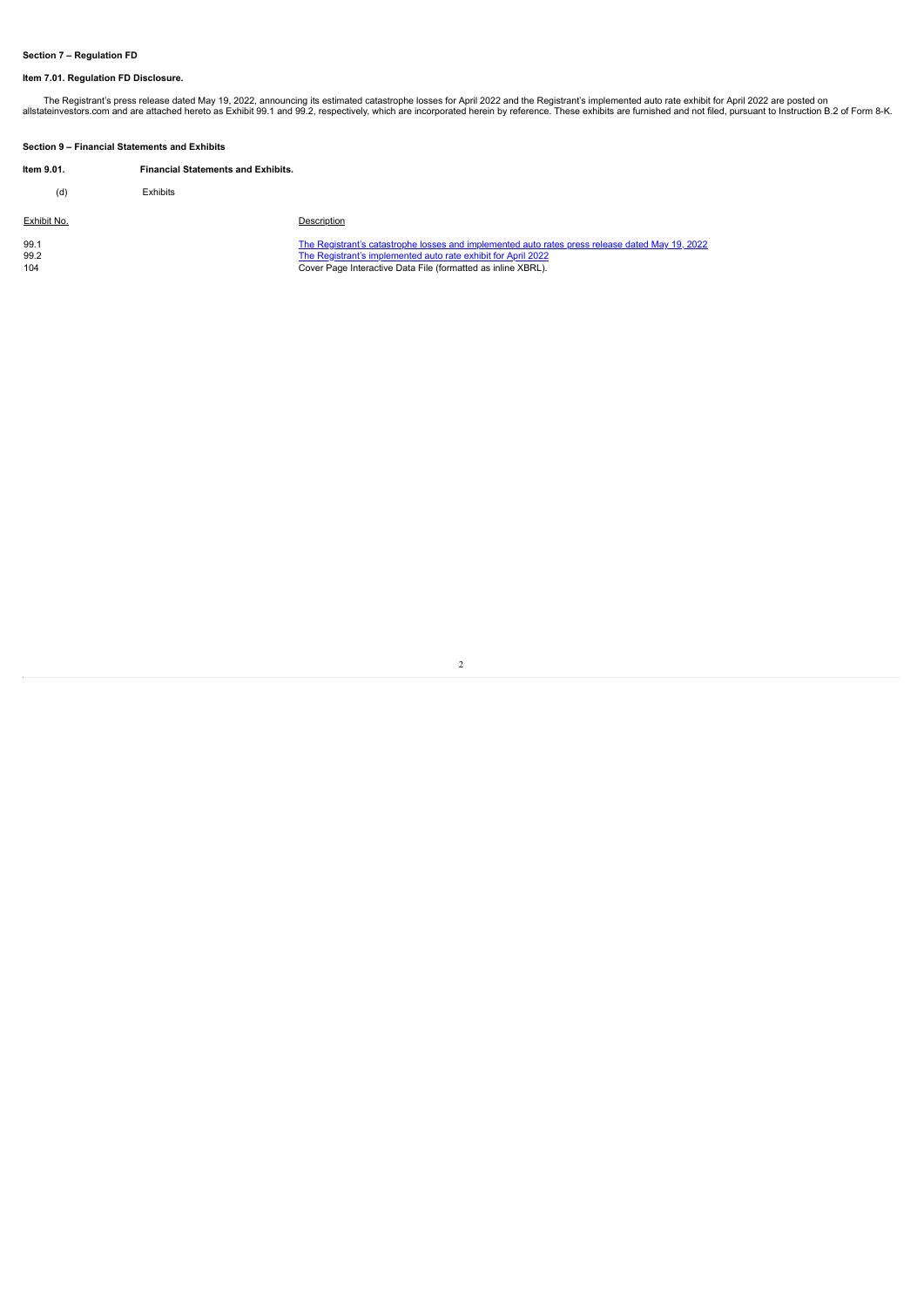# **Section 7 – Regulation FD**

# **Item 7.01. Regulation FD Disclosure.**

The Registrant's press release dated May 19, 2022, announcing its estimated catastrophe losses for April 2022 and the Registrant's implemented auto rate exhibit for April 2022 are posted on<br>.allstateinvestors.com and are a

| Section 9 - Financial Statements and Exhibits |                                           |                                                                                                                                                                                                                                  |  |  |  |  |
|-----------------------------------------------|-------------------------------------------|----------------------------------------------------------------------------------------------------------------------------------------------------------------------------------------------------------------------------------|--|--|--|--|
| Item 9.01.                                    | <b>Financial Statements and Exhibits.</b> |                                                                                                                                                                                                                                  |  |  |  |  |
| (d)                                           | <b>Exhibits</b>                           |                                                                                                                                                                                                                                  |  |  |  |  |
| Exhibit No.                                   |                                           | Description                                                                                                                                                                                                                      |  |  |  |  |
| 99.1<br>99.2<br>104                           |                                           | The Registrant's catastrophe losses and implemented auto rates press release dated May 19, 2022<br>The Registrant's implemented auto rate exhibit for April 2022<br>Cover Page Interactive Data File (formatted as inline XBRL). |  |  |  |  |

2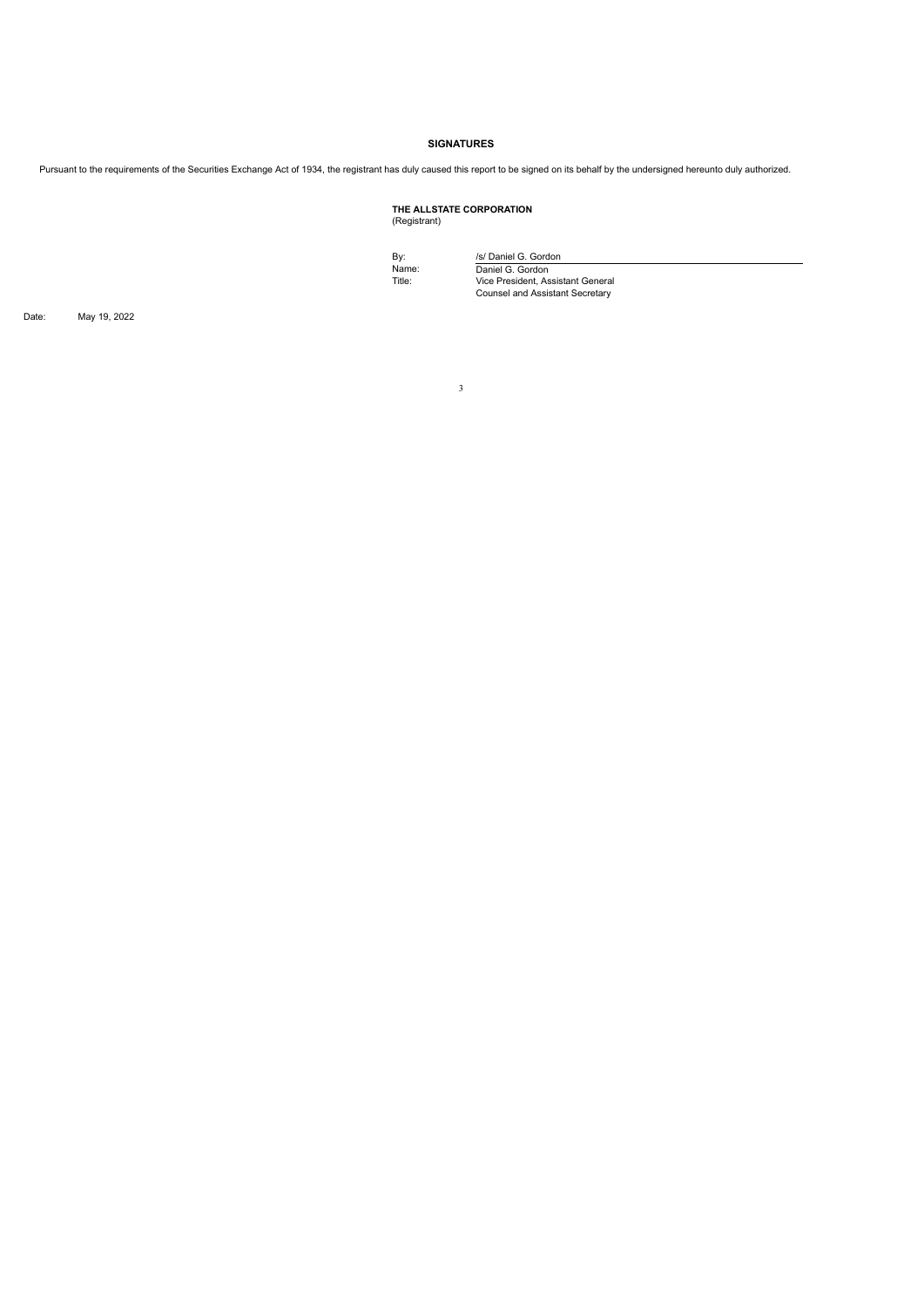# **SIGNATURES**

Pursuant to the requirements of the Securities Exchange Act of 1934, the registrant has duly caused this report to be signed on its behalf by the undersigned hereunto duly authorized.

# **THE ALLSTATE CORPORATION** (Registrant)

By: *ISI* Daniel G. Gordon<br>Name: Daniel G. Gordon<br>Title: Vice President, Assistant General<br>Counsel and Assistant Secretary

Date: May 19, 2022

3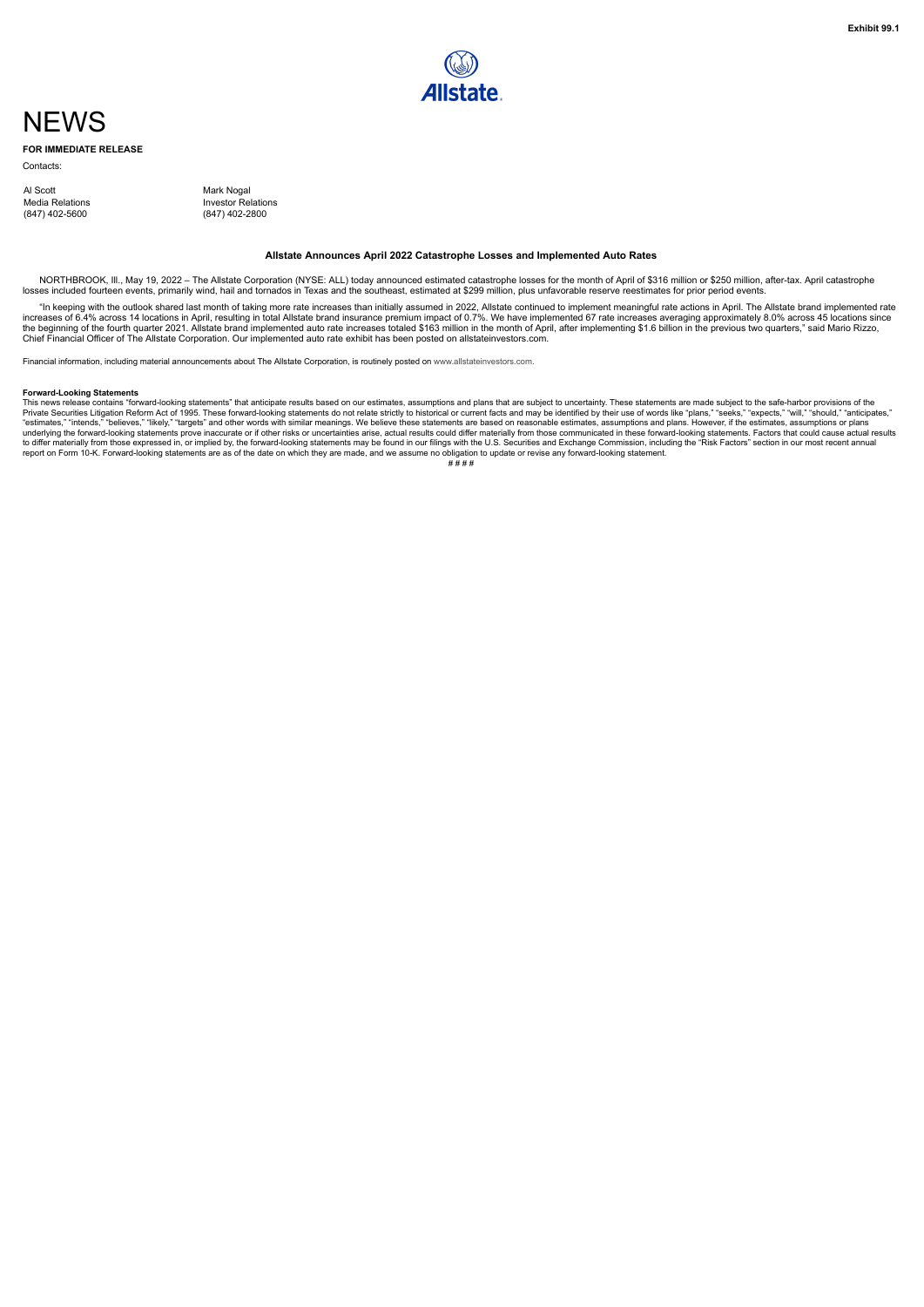# <span id="page-3-0"></span>**NFWS**

**FOR IMMEDIATE RELEASE**

**Contacts** 

Al Scott<br>
Mark Nogal<br>
Media Relations<br>
Investor Rel Media Relations **Investor Relations**<br>(847) 402-5600 (847) 402-2800

(847) 402-5600 (847) 402-2800

#### **Allstate Announces April 2022 Catastrophe Losses and Implemented Auto Rates**

NORTHBROOK, Ill., May 19, 2022 - The Allstate Corporation (NYSE: ALL) today announced estimated catastrophe losses for the month of April of \$316 million or \$250 million, after-tax. April catastrophe losses included fourteen events, primarily wind, hail and tornados in Texas and the southeast, estimated at \$299 million, plus unfavorable reserve reestimates for prior period events.

"In keeping with the outlook shared last month of taking more rate increases than initially assumed in 2022, Allstate continued to implement meaningful rate actions in April. The Allstate brand implemented rate<br>increases o

Financial information, including material announcements about The Allstate Corporation, is routinely posted on www.allstateinvestors.com.

#### **Forward-Looking Statements**

For ward-Looking Jatemients<br>This news release contains "forward-looking statements" that anticipate results based on our estimates, assumptions and plans that are subject to uncertainty. These statements are made subject t Private Securities Litigation Reform Act of 1995. These forward-looking statements do not relate strictly to historical or current facts and may be identified by their use of words like "plans," "seeks," "expects," "will," underlying the forward-looking statements prove inaccurate or if other risks or uncertainties arise, actual results could differ materially from those communicated in these forward-looking statements. Factors that could ca